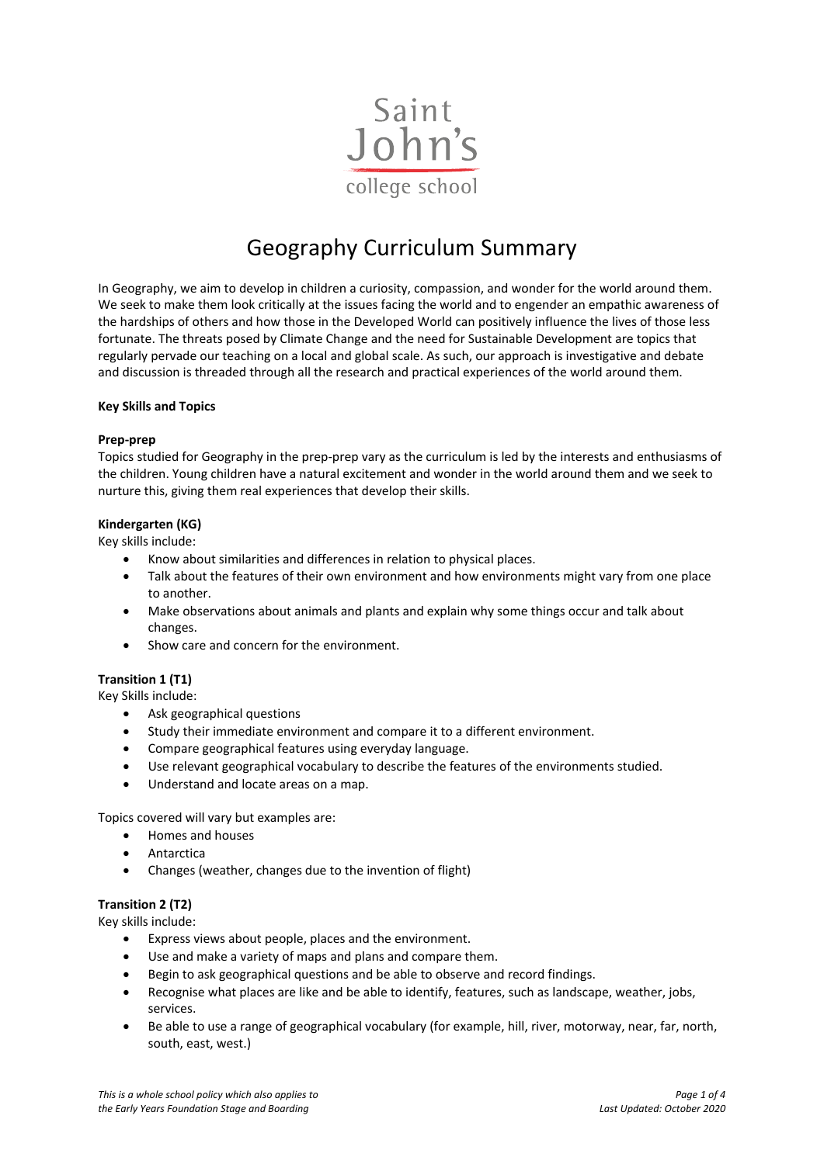

# Geography Curriculum Summary

In Geography, we aim to develop in children a curiosity, compassion, and wonder for the world around them. We seek to make them look critically at the issues facing the world and to engender an empathic awareness of the hardships of others and how those in the Developed World can positively influence the lives of those less fortunate. The threats posed by Climate Change and the need for Sustainable Development are topics that regularly pervade our teaching on a local and global scale. As such, our approach is investigative and debate and discussion is threaded through all the research and practical experiences of the world around them.

## **Key Skills and Topics**

#### **Prep-prep**

Topics studied for Geography in the prep-prep vary as the curriculum is led by the interests and enthusiasms of the children. Young children have a natural excitement and wonder in the world around them and we seek to nurture this, giving them real experiences that develop their skills.

## **Kindergarten (KG)**

Key skills include:

- Know about similarities and differences in relation to physical places.
- Talk about the features of their own environment and how environments might vary from one place to another.
- Make observations about animals and plants and explain why some things occur and talk about changes.
- Show care and concern for the environment.

## **Transition 1 (T1)**

Key Skills include:

- Ask geographical questions
- Study their immediate environment and compare it to a different environment.
- Compare geographical features using everyday language.
- Use relevant geographical vocabulary to describe the features of the environments studied.
- Understand and locate areas on a map.

Topics covered will vary but examples are:

- Homes and houses
- Antarctica
- Changes (weather, changes due to the invention of flight)

## **Transition 2 (T2)**

Key skills include:

- Express views about people, places and the environment.
- Use and make a variety of maps and plans and compare them.
- Begin to ask geographical questions and be able to observe and record findings.
- Recognise what places are like and be able to identify, features, such as landscape, weather, jobs, services.
- Be able to use a range of geographical vocabulary (for example, hill, river, motorway, near, far, north, south, east, west.)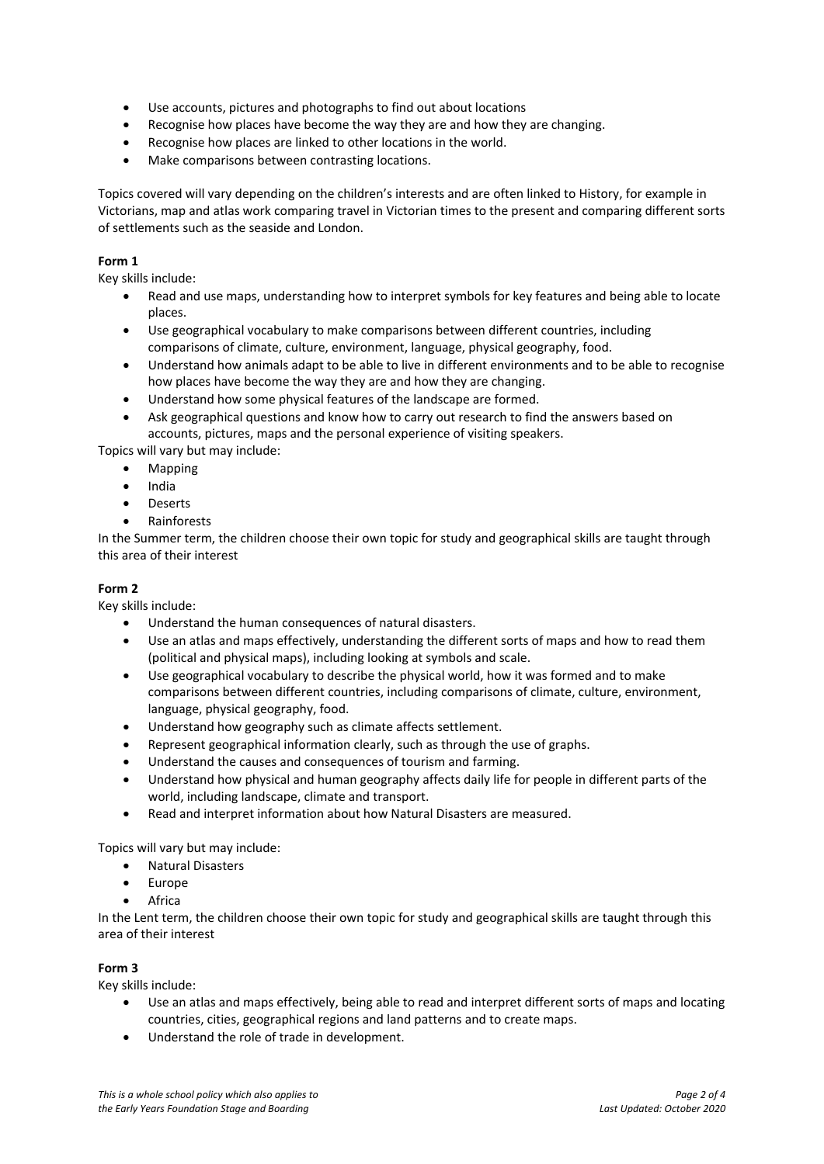- Use accounts, pictures and photographs to find out about locations
- Recognise how places have become the way they are and how they are changing.
- Recognise how places are linked to other locations in the world.
- Make comparisons between contrasting locations.

Topics covered will vary depending on the children's interests and are often linked to History, for example in Victorians, map and atlas work comparing travel in Victorian times to the present and comparing different sorts of settlements such as the seaside and London.

# **Form 1**

Key skills include:

- Read and use maps, understanding how to interpret symbols for key features and being able to locate places.
- Use geographical vocabulary to make comparisons between different countries, including comparisons of climate, culture, environment, language, physical geography, food.
- Understand how animals adapt to be able to live in different environments and to be able to recognise how places have become the way they are and how they are changing.
- Understand how some physical features of the landscape are formed.
- Ask geographical questions and know how to carry out research to find the answers based on accounts, pictures, maps and the personal experience of visiting speakers.

Topics will vary but may include:

- Mapping
- India
- Deserts
- Rainforests

In the Summer term, the children choose their own topic for study and geographical skills are taught through this area of their interest

## **Form 2**

Key skills include:

- Understand the human consequences of natural disasters.
- Use an atlas and maps effectively, understanding the different sorts of maps and how to read them (political and physical maps), including looking at symbols and scale.
- Use geographical vocabulary to describe the physical world, how it was formed and to make comparisons between different countries, including comparisons of climate, culture, environment, language, physical geography, food.
- Understand how geography such as climate affects settlement.
- Represent geographical information clearly, such as through the use of graphs.
- Understand the causes and consequences of tourism and farming.
- Understand how physical and human geography affects daily life for people in different parts of the world, including landscape, climate and transport.
- Read and interpret information about how Natural Disasters are measured.

Topics will vary but may include:

- Natural Disasters
- Europe
- Africa

In the Lent term, the children choose their own topic for study and geographical skills are taught through this area of their interest

# **Form 3**

Key skills include:

- Use an atlas and maps effectively, being able to read and interpret different sorts of maps and locating countries, cities, geographical regions and land patterns and to create maps.
- Understand the role of trade in development.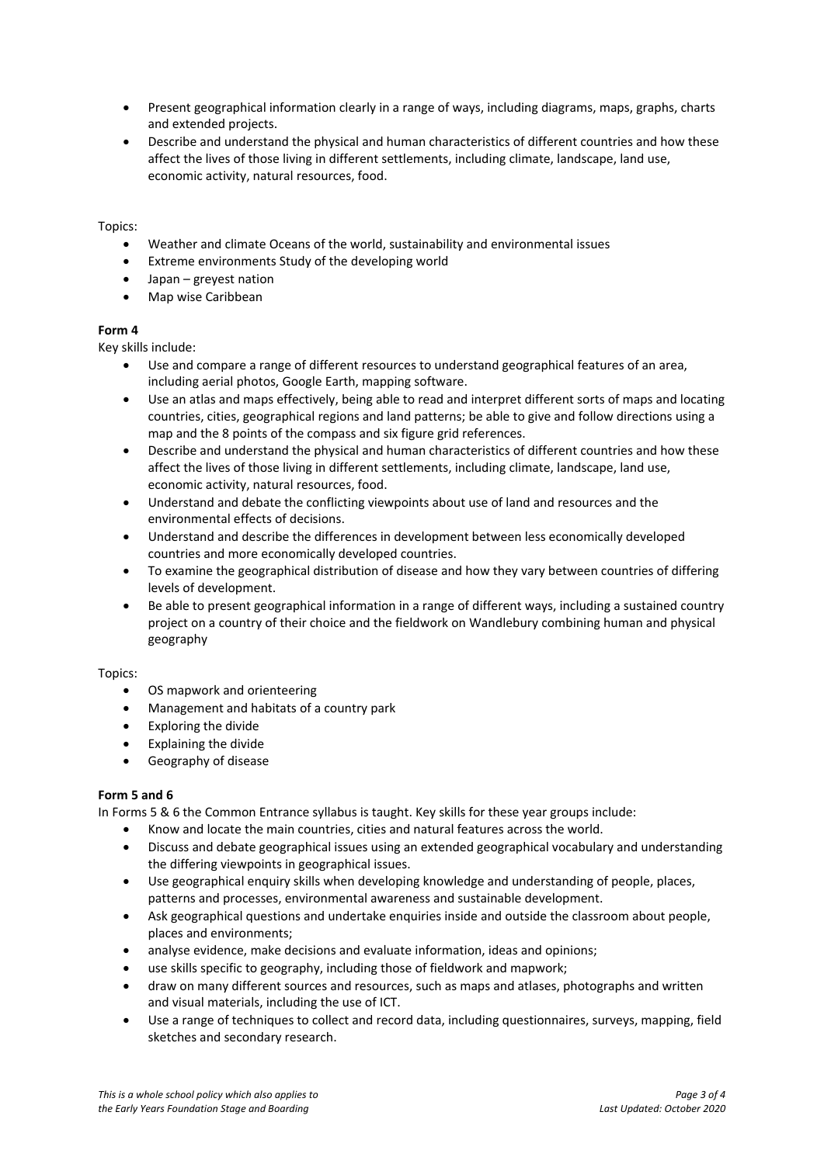- Present geographical information clearly in a range of ways, including diagrams, maps, graphs, charts and extended projects.
- Describe and understand the physical and human characteristics of different countries and how these affect the lives of those living in different settlements, including climate, landscape, land use, economic activity, natural resources, food.

## Topics:

- Weather and climate Oceans of the world, sustainability and environmental issues
- Extreme environments Study of the developing world
- Japan greyest nation
- Map wise Caribbean

## **Form 4**

Key skills include:

- Use and compare a range of different resources to understand geographical features of an area, including aerial photos, Google Earth, mapping software.
- Use an atlas and maps effectively, being able to read and interpret different sorts of maps and locating countries, cities, geographical regions and land patterns; be able to give and follow directions using a map and the 8 points of the compass and six figure grid references.
- Describe and understand the physical and human characteristics of different countries and how these affect the lives of those living in different settlements, including climate, landscape, land use, economic activity, natural resources, food.
- Understand and debate the conflicting viewpoints about use of land and resources and the environmental effects of decisions.
- Understand and describe the differences in development between less economically developed countries and more economically developed countries.
- To examine the geographical distribution of disease and how they vary between countries of differing levels of development.
- Be able to present geographical information in a range of different ways, including a sustained country project on a country of their choice and the fieldwork on Wandlebury combining human and physical geography

## Topics:

- OS mapwork and orienteering
- Management and habitats of a country park
- Exploring the divide
- Explaining the divide
- Geography of disease

## **Form 5 and 6**

In Forms 5 & 6 the Common Entrance syllabus is taught. Key skills for these year groups include:

- Know and locate the main countries, cities and natural features across the world.
- Discuss and debate geographical issues using an extended geographical vocabulary and understanding the differing viewpoints in geographical issues.
- Use geographical enquiry skills when developing knowledge and understanding of people, places, patterns and processes, environmental awareness and sustainable development.
- Ask geographical questions and undertake enquiries inside and outside the classroom about people, places and environments;
- analyse evidence, make decisions and evaluate information, ideas and opinions;
- use skills specific to geography, including those of fieldwork and mapwork;
- draw on many different sources and resources, such as maps and atlases, photographs and written and visual materials, including the use of ICT.
- Use a range of techniques to collect and record data, including questionnaires, surveys, mapping, field sketches and secondary research.